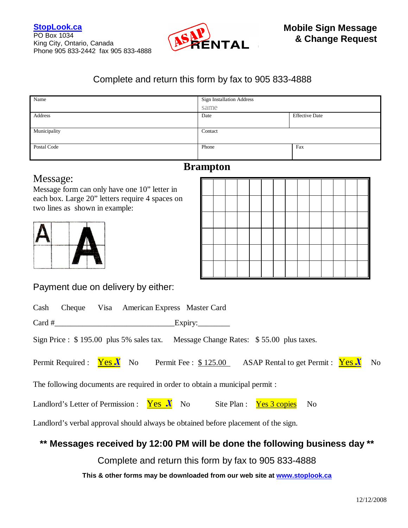

## Complete and return this form by fax to 905 833-4888

| Name         | <b>Sign Installation Address</b> |                       |  |  |
|--------------|----------------------------------|-----------------------|--|--|
|              | same                             |                       |  |  |
| Address      | Date                             | <b>Effective Date</b> |  |  |
|              |                                  |                       |  |  |
| Municipality | Contact                          |                       |  |  |
|              |                                  |                       |  |  |
| Postal Code  | Phone                            | Fax                   |  |  |
|              |                                  |                       |  |  |

# **Brampton**

# Message:

Message form can only have one 10" letter in each box. Large 20" letters require 4 spaces on two lines as shown in example:



Payment due on delivery by either:

| Cash                                                                               |                              |  | Cheque Visa American Express Master Card                                    |                        |  |                                                                                    |    |  |
|------------------------------------------------------------------------------------|------------------------------|--|-----------------------------------------------------------------------------|------------------------|--|------------------------------------------------------------------------------------|----|--|
|                                                                                    |                              |  |                                                                             | $\frac{1}{2}$ Expiry:  |  |                                                                                    |    |  |
|                                                                                    |                              |  |                                                                             |                        |  | Sign Price : \$195.00 plus 5% sales tax. Message Change Rates: \$55.00 plus taxes. |    |  |
|                                                                                    | Permit Required : $Yes X$ No |  |                                                                             | Permit Fee : $$125.00$ |  | ASAP Rental to get Permit : $Yes X$ No                                             |    |  |
|                                                                                    |                              |  | The following documents are required in order to obtain a municipal permit: |                        |  |                                                                                    |    |  |
|                                                                                    |                              |  | Landlord's Letter of Permission : $Yes X$ No                                |                        |  | Site Plan : <u>Yes 3 copies</u>                                                    | No |  |
| Landlord's verbal approval should always be obtained before placement of the sign. |                              |  |                                                                             |                        |  |                                                                                    |    |  |

## **\*\* Messages received by 12:00 PM will be done the following business day \*\***

Complete and return this form by fax to 905 833-4888

**This & other forms may be downloaded from our web site at www.stoplook.ca**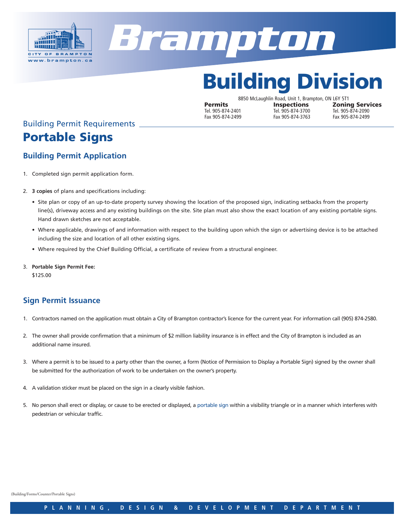



# Building Division

8850 McLaughlin Road, Unit 1, Brampton, ON L6Y 5T1 **Permits Inspections Zoning Services**<br>
Tel. 905-874-2401 Tel. 905-874-3700 Tel. 905-874-2090 Tel. 905-874-2401 Tel. 905-874-3700 Tel. 905-874-2090 Fax 905-874-3763

# Building Permit Requirements Portable Signs

### **Building Permit Application**

- 1. Completed sign permit application form.
- 2. **3 copies** of plans and specifications including:
	- Site plan or copy of an up-to-date property survey showing the location of the proposed sign, indicating setbacks from the property line(s), driveway access and any existing buildings on the site. Site plan must also show the exact location of any existing portable signs. Hand drawn sketches are not acceptable.
	- Where applicable, drawings of and information with respect to the building upon which the sign or advertising device is to be attached including the size and location of all other existing signs.
	- Where required by the Chief Building Official, a certificate of review from a structural engineer.
- 3. **Portable Sign Permit Fee:**

\$125.00

### **Sign Permit Issuance**

- 1. Contractors named on the application must obtain a City of Brampton contractor's licence for the current year. For information call (905) 874-2580.
- 2. The owner shall provide confirmation that a minimum of \$2 million liability insurance is in effect and the City of Brampton is included as an additional name insured.
- 3. Where a permit is to be issued to a party other than the owner, a form (Notice of Permission to Display a Portable Sign) signed by the owner shall be submitted for the authorization of work to be undertaken on the owner's property.
- 4. A validation sticker must be placed on the sign in a clearly visible fashion.
- 5. No person shall erect or display, or cause to be erected or displayed, a portable sign within a visibility triangle or in a manner which interferes with pedestrian or vehicular traffic.

(Building/Forms/Counter/Portable Signs)